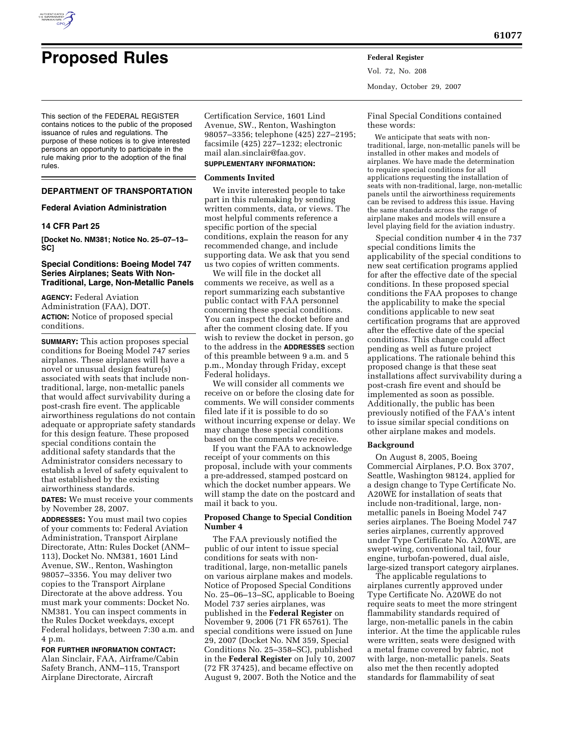

Vol. 72, No. 208 Monday, October 29, 2007

This section of the FEDERAL REGISTER contains notices to the public of the proposed issuance of rules and regulations. The purpose of these notices is to give interested persons an opportunity to participate in the rule making prior to the adoption of the final rules.

## **DEPARTMENT OF TRANSPORTATION**

## **Federal Aviation Administration**

## **14 CFR Part 25**

**[Docket No. NM381; Notice No. 25–07–13– SC]** 

# **Special Conditions: Boeing Model 747 Series Airplanes; Seats With Non-Traditional, Large, Non-Metallic Panels**

**AGENCY:** Federal Aviation Administration (FAA), DOT. **ACTION:** Notice of proposed special conditions.

**SUMMARY:** This action proposes special conditions for Boeing Model 747 series airplanes. These airplanes will have a novel or unusual design feature(s) associated with seats that include nontraditional, large, non-metallic panels that would affect survivability during a post-crash fire event. The applicable airworthiness regulations do not contain adequate or appropriate safety standards for this design feature. These proposed special conditions contain the additional safety standards that the Administrator considers necessary to establish a level of safety equivalent to that established by the existing airworthiness standards.

**DATES:** We must receive your comments by November 28, 2007.

**ADDRESSES:** You must mail two copies of your comments to: Federal Aviation Administration, Transport Airplane Directorate, Attn: Rules Docket (ANM– 113), Docket No. NM381, 1601 Lind Avenue, SW., Renton, Washington 98057–3356. You may deliver two copies to the Transport Airplane Directorate at the above address. You must mark your comments: Docket No. NM381. You can inspect comments in the Rules Docket weekdays, except Federal holidays, between 7:30 a.m. and 4 p.m.

## **FOR FURTHER INFORMATION CONTACT:**

Alan Sinclair, FAA, Airframe/Cabin Safety Branch, ANM–115, Transport Airplane Directorate, Aircraft

Certification Service, 1601 Lind Avenue, SW., Renton, Washington 98057–3356; telephone (425) 227–2195; facsimile (425) 227–1232; electronic mail alan.sinclair@faa.gov.

# **SUPPLEMENTARY INFORMATION:**

## **Comments Invited**

We invite interested people to take part in this rulemaking by sending written comments, data, or views. The most helpful comments reference a specific portion of the special conditions, explain the reason for any recommended change, and include supporting data. We ask that you send us two copies of written comments.

We will file in the docket all comments we receive, as well as a report summarizing each substantive public contact with FAA personnel concerning these special conditions. You can inspect the docket before and after the comment closing date. If you wish to review the docket in person, go to the address in the **ADDRESSES** section of this preamble between 9 a.m. and 5 p.m., Monday through Friday, except Federal holidays.

We will consider all comments we receive on or before the closing date for comments. We will consider comments filed late if it is possible to do so without incurring expense or delay. We may change these special conditions based on the comments we receive.

If you want the FAA to acknowledge receipt of your comments on this proposal, include with your comments a pre-addressed, stamped postcard on which the docket number appears. We will stamp the date on the postcard and mail it back to you.

## **Proposed Change to Special Condition Number 4**

The FAA previously notified the public of our intent to issue special conditions for seats with nontraditional, large, non-metallic panels on various airplane makes and models. Notice of Proposed Special Conditions No. 25–06–13–SC, applicable to Boeing Model 737 series airplanes, was published in the **Federal Register** on November 9, 2006 (71 FR 65761). The special conditions were issued on June 29, 2007 (Docket No. NM 359, Special Conditions No. 25–358–SC), published in the **Federal Register** on July 10, 2007 (72 FR 37425), and became effective on August 9, 2007. Both the Notice and the Final Special Conditions contained these words:

We anticipate that seats with nontraditional, large, non-metallic panels will be installed in other makes and models of airplanes. We have made the determination to require special conditions for all applications requesting the installation of seats with non-traditional, large, non-metallic panels until the airworthiness requirements can be revised to address this issue. Having the same standards across the range of airplane makes and models will ensure a level playing field for the aviation industry.

Special condition number 4 in the 737 special conditions limits the applicability of the special conditions to new seat certification programs applied for after the effective date of the special conditions. In these proposed special conditions the FAA proposes to change the applicability to make the special conditions applicable to new seat certification programs that are approved after the effective date of the special conditions. This change could affect pending as well as future project applications. The rationale behind this proposed change is that these seat installations affect survivability during a post-crash fire event and should be implemented as soon as possible. Additionally, the public has been previously notified of the FAA's intent to issue similar special conditions on other airplane makes and models.

### **Background**

On August 8, 2005, Boeing Commercial Airplanes, P.O. Box 3707, Seattle, Washington 98124, applied for a design change to Type Certificate No. A20WE for installation of seats that include non-traditional, large, nonmetallic panels in Boeing Model 747 series airplanes. The Boeing Model 747 series airplanes, currently approved under Type Certificate No. A20WE, are swept-wing, conventional tail, four engine, turbofan-powered, dual aisle, large-sized transport category airplanes.

The applicable regulations to airplanes currently approved under Type Certificate No. A20WE do not require seats to meet the more stringent flammability standards required of large, non-metallic panels in the cabin interior. At the time the applicable rules were written, seats were designed with a metal frame covered by fabric, not with large, non-metallic panels. Seats also met the then recently adopted standards for flammability of seat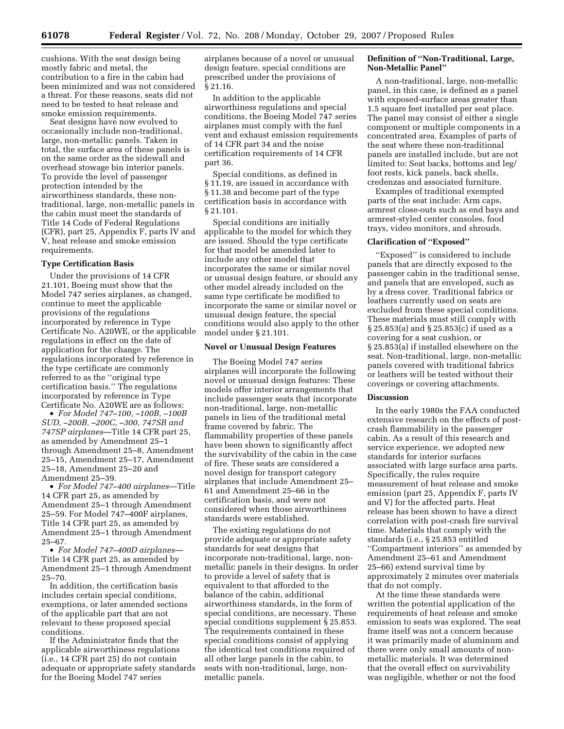cushions. With the seat design being mostly fabric and metal, the contribution to a fire in the cabin had been minimized and was not considered a threat. For these reasons, seats did not need to be tested to heat release and smoke emission requirements.

Seat designs have now evolved to occasionally include non-traditional, large, non-metallic panels. Taken in total, the surface area of these panels is on the same order as the sidewall and overhead stowage bin interior panels. To provide the level of passenger protection intended by the airworthiness standards, these nontraditional, large, non-metallic panels in the cabin must meet the standards of Title 14 Code of Federal Regulations (CFR), part 25, Appendix F, parts IV and V, heat release and smoke emission requirements.

### **Type Certification Basis**

Under the provisions of 14 CFR 21.101, Boeing must show that the Model 747 series airplanes, as changed, continue to meet the applicable provisions of the regulations incorporated by reference in Type Certificate No. A20WE, or the applicable regulations in effect on the date of application for the change. The regulations incorporated by reference in the type certificate are commonly referred to as the ''original type certification basis.'' The regulations incorporated by reference in Type Certificate No. A20WE are as follows:

• *For Model 747–100, –100B, –100B SUD, –200B, –200C, –300, 747SR and 747SP airplanes*—Title 14 CFR part 25, as amended by Amendment 25–1 through Amendment 25–8, Amendment 25–15, Amendment 25–17, Amendment 25–18, Amendment 25–20 and Amendment 25–39.

• *For Model 747–400 airplanes*—Title 14 CFR part 25, as amended by Amendment 25–1 through Amendment 25–59. For Model 747–400F airplanes, Title 14 CFR part 25, as amended by Amendment 25–1 through Amendment 25–67.

• *For Model 747–400D airplanes*— Title 14 CFR part 25, as amended by Amendment 25–1 through Amendment 25–70.

In addition, the certification basis includes certain special conditions, exemptions, or later amended sections of the applicable part that are not relevant to these proposed special conditions.

If the Administrator finds that the applicable airworthiness regulations (i.e., 14 CFR part 25) do not contain adequate or appropriate safety standards for the Boeing Model 747 series

airplanes because of a novel or unusual design feature, special conditions are prescribed under the provisions of § 21.16.

In addition to the applicable airworthiness regulations and special conditions, the Boeing Model 747 series airplanes must comply with the fuel vent and exhaust emission requirements of 14 CFR part 34 and the noise certification requirements of 14 CFR part 36.

Special conditions, as defined in § 11.19, are issued in accordance with § 11.38 and become part of the type certification basis in accordance with § 21.101.

Special conditions are initially applicable to the model for which they are issued. Should the type certificate for that model be amended later to include any other model that incorporates the same or similar novel or unusual design feature, or should any other model already included on the same type certificate be modified to incorporate the same or similar novel or unusual design feature, the special conditions would also apply to the other model under § 21.101.

#### **Novel or Unusual Design Features**

The Boeing Model 747 series airplanes will incorporate the following novel or unusual design features: These models offer interior arrangements that include passenger seats that incorporate non-traditional, large, non-metallic panels in lieu of the traditional metal frame covered by fabric. The flammability properties of these panels have been shown to significantly affect the survivability of the cabin in the case of fire. These seats are considered a novel design for transport category airplanes that include Amendment 25– 61 and Amendment 25–66 in the certification basis, and were not considered when those airworthiness standards were established.

The existing regulations do not provide adequate or appropriate safety standards for seat designs that incorporate non-traditional, large, nonmetallic panels in their designs. In order to provide a level of safety that is equivalent to that afforded to the balance of the cabin, additional airworthiness standards, in the form of special conditions, are necessary. These special conditions supplement § 25.853. The requirements contained in these special conditions consist of applying the identical test conditions required of all other large panels in the cabin, to seats with non-traditional, large, nonmetallic panels.

## **Definition of ''Non-Traditional, Large, Non-Metallic Panel''**

A non-traditional, large, non-metallic panel, in this case, is defined as a panel with exposed-surface areas greater than 1.5 square feet installed per seat place. The panel may consist of either a single component or multiple components in a concentrated area. Examples of parts of the seat where these non-traditional panels are installed include, but are not limited to: Seat backs, bottoms and leg/ foot rests, kick panels, back shells, credenzas and associated furniture.

Examples of traditional exempted parts of the seat include: Arm caps, armrest close-outs such as end bays and armrest-styled center consoles, food trays, video monitors, and shrouds.

# **Clarification of ''Exposed''**

''Exposed'' is considered to include panels that are directly exposed to the passenger cabin in the traditional sense, and panels that are enveloped, such as by a dress cover. Traditional fabrics or leathers currently used on seats are excluded from these special conditions. These materials must still comply with § 25.853(a) and § 25.853(c) if used as a covering for a seat cushion, or § 25.853(a) if installed elsewhere on the seat. Non-traditional, large, non-metallic panels covered with traditional fabrics or leathers will be tested without their coverings or covering attachments.

### **Discussion**

In the early 1980s the FAA conducted extensive research on the effects of postcrash flammability in the passenger cabin. As a result of this research and service experience, we adopted new standards for interior surfaces associated with large surface area parts. Specifically, the rules require measurement of heat release and smoke emission (part 25, Appendix F, parts IV and V) for the affected parts. Heat release has been shown to have a direct correlation with post-crash fire survival time. Materials that comply with the standards (i.e., § 25.853 entitled ''Compartment interiors'' as amended by Amendment 25–61 and Amendment 25–66) extend survival time by approximately 2 minutes over materials that do not comply.

At the time these standards were written the potential application of the requirements of heat release and smoke emission to seats was explored. The seat frame itself was not a concern because it was primarily made of aluminum and there were only small amounts of nonmetallic materials. It was determined that the overall effect on survivability was negligible, whether or not the food